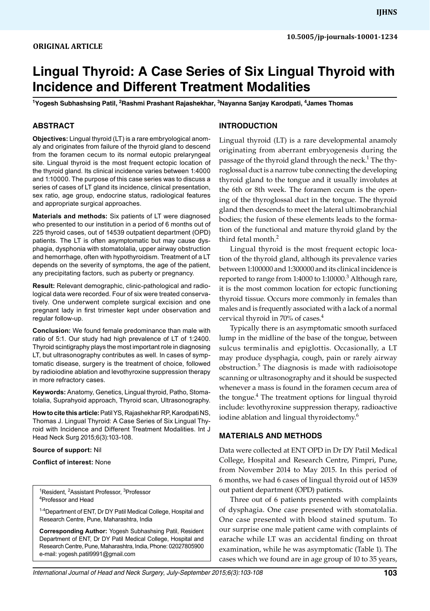# **Lingual Thyroid: A Case Series of Six Lingual Thyroid with Incidence and Different Treatment Modalities**

<sup>1</sup>Yogesh Subhashsing Patil, <sup>2</sup>Rashmi Prashant Rajashekhar, <sup>3</sup>Nayanna Sanjay Karodpati, <sup>4</sup>James Thomas

### **ABSTRACT**

**Objectives:** Lingual thyroid (LT) is a rare embryological anomaly and originates from failure of the thyroid gland to descend from the foramen cecum to its normal eutopic prelaryngeal site. Lingual thyroid is the most frequent ectopic location of the thyroid gland. Its clinical incidence varies between 1:4000 and 1:10000. The purpose of this case series was to discuss a series of cases of LT gland its incidence, clinical presentation, sex ratio, age group, endocrine status, radiological features and appropriate surgical approaches.

**Materials and methods:** Six patients of LT were diagnosed who presented to our institution in a period of 6 months out of 225 thyroid cases, out of 14539 outpatient department (OPD) patients. The LT is often asymptomatic but may cause dysphagia, dysphonia with stomatolalia, upper airway obstruction and hemorrhage, often with hypothyroidism. Treatment of a LT depends on the severity of symptoms, the age of the patient, any precipitating factors, such as puberty or pregnancy.

**Result:** Relevant demographic, clinic-pathological and radiological data were recorded. Four of six were treated conservatively. One underwent complete surgical excision and one pregnant lady in first trimester kept under observation and regular follow-up.

**Conclusion:** We found female predominance than male with ratio of 5:1. Our study had high prevalence of LT of 1:2400. Thyroid scintigraphy plays the most important role in diagnosing LT, but ultrasonography contributes as well. In cases of symptomatic disease, surgery is the treatment of choice, followed by radioiodine ablation and levothyroxine suppression therapy in more refractory cases.

**Keywords:** Anatomy, Genetics, Lingual thyroid, Patho, Stomatolalia, Suprahyoid approach, Thyroid scan, Ultrasonography.

**How to cite this article:** Patil YS, Rajashekhar RP, Karodpati NS, Thomas J. Lingual Thyroid: A Case Series of Six Lingual Thyroid with Incidence and Different Treatment Modalities. Int J Head Neck Surg 2015;6(3):103-108.

#### **Source of support:** Nil

**Conflict of interest:** None

<sup>1</sup>Resident, <sup>2</sup>Assistant Professor, <sup>3</sup>Professor<br><sup>4</sup>Professor and Head <sup>4</sup>Professor and Head

<sup>1-4</sup>Department of ENT, Dr DY Patil Medical College, Hospital and Research Centre, Pune, Maharashtra, India

**Corresponding Author:** Yogesh Subhashsing Patil, Resident Department of ENT, Dr DY Patil Medical College, Hospital and Research Centre, Pune, Maharashtra, India, Phone: 02027805900 e-mail: yogesh.patil9991@gmail.com

#### **INTRODUCTION**

Lingual thyroid (LT) is a rare developmental anamoly originating from aberrant embryogenesis during the passage of the thyroid gland through the neck.<sup>1</sup> The thyroglossal duct is a narrow tube connecting the developing thyroid gland to the tongue and it usually involutes at the 6th or 8th week. The foramen cecum is the opening of the thyroglossal duct in the tongue. The thyroid gland then descends to meet the lateral ultimobranchial bodies; the fusion of these elements leads to the formation of the functional and mature thyroid gland by the third fetal month.<sup>2</sup>

Lingual thyroid is the most frequent ectopic location of the thyroid gland, although its prevalence varies between 1:100000 and 1:300000 and its clinical incidence is reported to range from 1:4000 to 1:10000.<sup>3</sup> Although rare, it is the most common location for ectopic functioning thyroid tissue. Occurs more commonly in females than males and is frequently associated with a lack of a normal cervical thyroid in 70% of cases.<sup>4</sup>

Typically there is an asymptomatic smooth surfaced lump in the midline of the base of the tongue, between sulcus terminalis and epiglottis. Occasionally, a LT may produce dysphagia, cough, pain or rarely airway obstruction.<sup>5</sup> The diagnosis is made with radioisotope scanning or ultrasonography and it should be suspected whenever a mass is found in the foramen cecum area of the tongue.<sup>4</sup> The treatment options for lingual thyroid include: levothyroxine suppression therapy, radioactive iodine ablation and lingual thyroidectomy.<sup>6</sup>

#### **MATERIALS AND METHODS**

Data were collected at ENT OPD in Dr DY Patil Medical College, Hospital and Research Centre, Pimpri, Pune, from November 2014 to May 2015. In this period of 6 months, we had 6 cases of lingual thyroid out of 14539 out patient department (OPD) patients.

Three out of 6 patients presented with complaints of dysphagia. One case presented with stomatolalia. One case presented with blood stained sputum. To our surprise one male patient came with complaints of earache while LT was an accidental finding on throat examination, while he was asymptomatic (Table 1). The cases which we found are in age group of 10 to 35 years,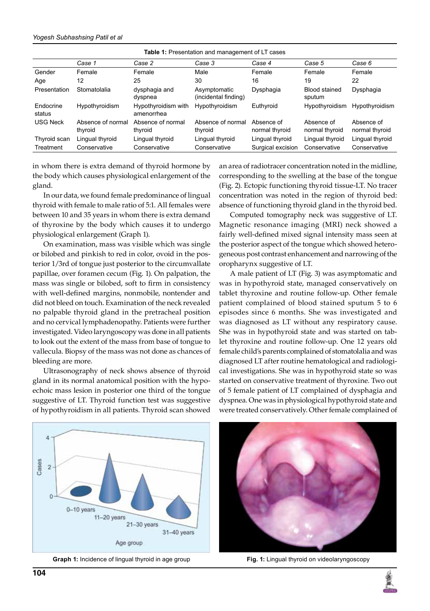| <b>Table 1.</b> I Teschildtion and management of ET cases |                              |                                   |                                      |                              |                              |                              |
|-----------------------------------------------------------|------------------------------|-----------------------------------|--------------------------------------|------------------------------|------------------------------|------------------------------|
|                                                           | Case 1                       | Case 2                            | Case 3                               | Case 4                       | Case 5                       | Case 6                       |
| Gender                                                    | Female                       | Female                            | Male                                 | Female                       | Female                       | Female                       |
| Age                                                       | 12                           | 25                                | 30                                   | 16                           | 19                           | 22                           |
| Presentation                                              | Stomatolalia                 | dysphagia and<br>dyspnea          | Asymptomatic<br>(incidental finding) | Dysphagia                    | Blood stained<br>sputum      | Dysphagia                    |
| Endocrine<br>status                                       | Hypothyroidism               | Hypothyroidism with<br>amenorrhea | Hypothyroidism                       | Euthyroid                    | Hypothyroidism               | Hypothyroidism               |
| <b>USG Neck</b>                                           | Absence of normal<br>thyroid | Absence of normal<br>thyroid      | Absence of normal<br>thyroid         | Absence of<br>normal thyroid | Absence of<br>normal thyroid | Absence of<br>normal thyroid |
| Thyroid scan                                              | Lingual thyroid              | Lingual thyroid                   | Lingual thyroid                      | Lingual thyroid              | Lingual thyroid              | Lingual thyroid              |
| Treatment                                                 | Conservative                 | Conservative                      | Conservative                         | Surgical excision            | Conservative                 | Conservative                 |
|                                                           |                              |                                   |                                      |                              |                              |                              |

**Table 1:** Presentation and management of LT cases

in whom there is extra demand of thyroid hormone by the body which causes physiological enlargement of the gland.

In our data, we found female predominance of lingual thyroid with female to male ratio of 5:1. All females were between 10 and 35 years in whom there is extra demand of thyroxine by the body which causes it to undergo physiological enlargement (Graph 1).

On examination, mass was visible which was single or bilobed and pinkish to red in color, ovoid in the posterior 1/3rd of tongue just posterior to the circumvallate papillae, over foramen cecum (Fig. 1). On palpation, the mass was single or bilobed, soft to firm in consistency with well-defined margins, nonmobile, nontender and did not bleed on touch. Examination of the neck revealed no palpable thyroid gland in the pretracheal position and no cervical lymphadenopathy. Patients were further investigated. Video laryngoscopy was done in all patients to look out the extent of the mass from base of tongue to vallecula. Biopsy of the mass was not done as chances of bleeding are more.

Ultrasonography of neck shows absence of thyroid gland in its normal anatomical position with the hypoechoic mass lesion in posterior one third of the tongue suggestive of LT. Thyroid function test was suggestive of hypothyroidism in all patients. Thyroid scan showed an area of radiotracer concentration noted in the midline, corresponding to the swelling at the base of the tongue (Fig. 2). Ectopic functioning thyroid tissue-LT. No tracer concentration was noted in the region of thyroid bed: absence of functioning thyroid gland in the thyroid bed.

Computed tomography neck was suggestive of LT. Magnetic resonance imaging (MRI) neck showed a fairly well-defined mixed signal intensity mass seen at the posterior aspect of the tongue which showed heterogeneous post contrast enhancement and narrowing of the oropharynx suggestive of LT.

A male patient of LT (Fig. 3) was asymptomatic and was in hypothyroid state, managed conservatively on tablet thyroxine and routine follow-up. Other female patient complained of blood stained sputum 5 to 6 episodes since 6 months. She was investigated and was diagnosed as LT without any respiratory cause. She was in hypothyroid state and was started on tablet thyroxine and routine follow-up. One 12 years old female child's parents complained of stomatolalia and was diagnosed LT after routine hematological and radiological investigations. She was in hypothyroid state so was started on conservative treatment of thyroxine. Two out of 5 female patient of LT complained of dysphagia and dyspnea. One was in physiological hypothyroid state and were treated conservatively. Other female complained of



**Graph 1:** Incidence of lingual thyroid in age group **Fig. 1:** Lingual thyroid on videolaryngoscopy



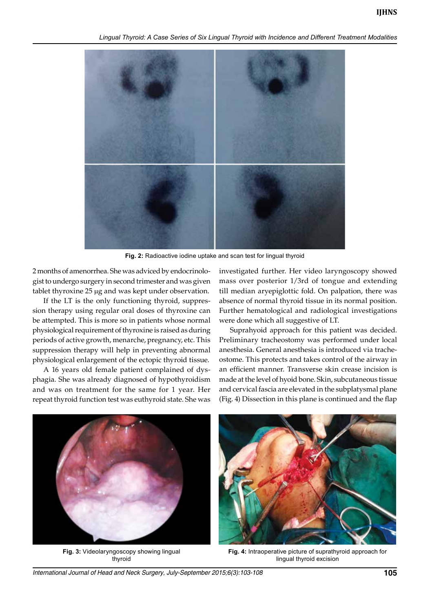*Lingual Thyroid: A Case Series of Six Lingual Thyroid with Incidence and Different Treatment Modalities*



**Fig. 2:** Radioactive iodine uptake and scan test for lingual thyroid

2 months of amenorrhea. She was adviced by endocrinologist to undergo surgery in second trimester and was given tablet thyroxine 25 µg and was kept under observation.

If the LT is the only functioning thyroid, suppression therapy using regular oral doses of thyroxine can be attempted. This is more so in patients whose normal physiological requirement of thyroxine is raised as during periods of active growth, menarche, pregnancy, etc. This suppression therapy will help in preventing abnormal physiological enlargement of the ectopic thyroid tissue.

A 16 years old female patient complained of dysphagia. She was already diagnosed of hypothyroidism and was on treatment for the same for 1 year. Her repeat thyroid function test was euthyroid state. She was investigated further. Her video laryngoscopy showed mass over posterior 1/3rd of tongue and extending till median aryepiglottic fold. On palpation, there was absence of normal thyroid tissue in its normal position. Further hematological and radiological investigations were done which all suggestive of LT.

Suprahyoid approach for this patient was decided. Preliminary tracheostomy was performed under local anesthesia. General anesthesia is introduced via tracheostome. This protects and takes control of the airway in an efficient manner. Transverse skin crease incision is made at the level of hyoid bone. Skin, subcutaneous tissue and cervical fascia are elevated in the subplatysmal plane (Fig. 4) Dissection in this plane is continued and the flap



**Fig. 3:** Videolaryngoscopy showing lingual thyroid



**Fig. 4:** Intraoperative picture of suprathyroid approach for lingual thyroid excision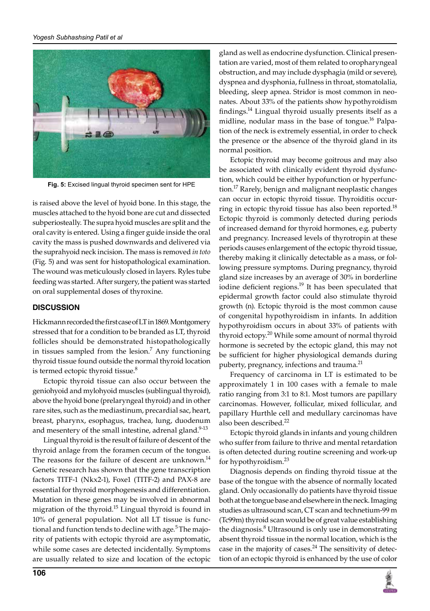

**Fig. 5:** Excised lingual thyroid specimen sent for HPE

is raised above the level of hyoid bone. In this stage, the muscles attached to the hyoid bone are cut and dissected subperiosteally. The supra hyoid muscles are split and the oral cavity is entered. Using a finger guide inside the oral cavity the mass is pushed downwards and delivered via the suprahyoid neck incision. The mass is removed *in toto* (Fig. 5) and was sent for histopathological examination. The wound was meticulously closed in layers. Ryles tube feeding was started. After surgery, the patient was started on oral supplemental doses of thyroxine.

## **DISCUSSION**

Hickmann recorded the first case of LT in 1869. Montgomery stressed that for a condition to be branded as LT, thyroid follicles should be demonstrated histopathologically in tissues sampled from the lesion.<sup>7</sup> Any functioning thyroid tissue found outside the normal thyroid location is termed ectopic thyroid tissue.<sup>8</sup>

Ectopic thyroid tissue can also occur between the geniohyoid and mylohyoid muscles (sublingual thyroid), above the hyoid bone (prelaryngeal thyroid) and in other rare sites, such as the mediastinum, precardial sac, heart, breast, pharynx, esophagus, trachea, lung, duodenum and mesentery of the small intestine, adrenal gland. $9-13$ 

Lingual thyroid is the result of failure of descent of the thyroid anlage from the foramen cecum of the tongue. The reasons for the failure of descent are unknown.<sup>14</sup> Genetic research has shown that the gene transcription factors TITF-1 (Nkx2-1), Foxe1 (TITF-2) and PAX-8 are essential for thyroid morphogenesis and differentiation. Mutation in these genes may be involved in abnormal migration of the thyroid.<sup>15</sup> Lingual thyroid is found in 10% of general population. Not all LT tissue is functional and function tends to decline with age.<sup>5</sup> The majority of patients with ectopic thyroid are asymptomatic, while some cases are detected incidentally. Symptoms are usually related to size and location of the ectopic

gland as well as endocrine dysfunction. Clinical presentation are varied, most of them related to oropharyngeal obstruction, and may include dysphagia (mild or severe), dyspnea and dysphonia, fullness in throat, stomatolalia, bleeding, sleep apnea. Stridor is most common in neonates. About 33% of the patients show hypothyroidism findings. $^{14}$  Lingual thyroid usually presents itself as a midline, nodular mass in the base of tongue.<sup>16</sup> Palpation of the neck is extremely essential, in order to check the presence or the absence of the thyroid gland in its normal position.

Ectopic thyroid may become goitrous and may also be associated with clinically evident thyroid dysfunction, which could be either hypofunction or hyperfunction.<sup>17</sup> Rarely, benign and malignant neoplastic changes can occur in ectopic thyroid tissue. Thyroiditis occurring in ectopic thyroid tissue has also been reported.<sup>18</sup> Ectopic thyroid is commonly detected during periods of increased demand for thyroid hormones, e.g. puberty and pregnancy. Increased levels of thyrotropin at these periods causes enlargement of the ectopic thyroid tissue, thereby making it clinically detectable as a mass, or following pressure symptoms. During pregnancy, thyroid gland size increases by an average of 30% in borderline iodine deficient regions.<sup>19</sup> It has been speculated that epidermal growth factor could also stimulate thyroid growth (n). Ectopic thyroid is the most common cause of congenital hypothyroidism in infants. In addition hypothyroidism occurs in about 33% of patients with thyroid ectopy.<sup>20</sup> While some amount of normal thyroid hormone is secreted by the ectopic gland, this may not be sufficient for higher physiological demands during puberty, pregnancy, infections and trauma.<sup>21</sup>

Frequency of carcinoma in LT is estimated to be approximately 1 in 100 cases with a female to male ratio ranging from 3:1 to 8:1. Most tumors are papillary carcinomas. However, follicular, mixed follicular, and papillary Hurthle cell and medullary carcinomas have also been described.<sup>22</sup>

Ectopic thyroid glands in infants and young children who suffer from failure to thrive and mental retardation is often detected during routine screening and work-up for hypothyroidism.<sup>23</sup>

Diagnosis depends on finding thyroid tissue at the base of the tongue with the absence of normally located gland. Only occasionally do patients have thyroid tissue both at the tongue base and elsewhere in the neck. Imaging studies as ultrasound scan, CT scan and technetium-99 m (Tc99m) thyroid scan would be of great value establishing the diagnosis.<sup>8</sup> Ultrasound is only use in demonstrating absent thyroid tissue in the normal location, which is the case in the majority of cases. $^{24}$  The sensitivity of detection of an ectopic thyroid is enhanced by the use of color

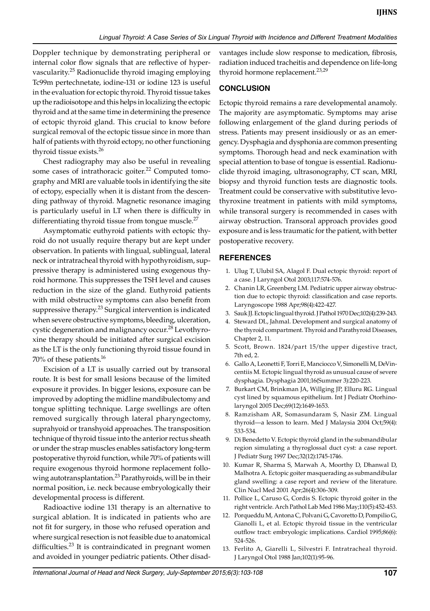Doppler technique by demonstrating peripheral or internal color flow signals that are reflective of hypervascularity.25 Radionuclide thyroid imaging employing Tc99m pertechnetate, iodine-131 or iodine 123 is useful in the evaluation for ectopic thyroid. Thyroid tissue takes up the radioisotope and this helps in localizing the ectopic thyroid and at the same time in determining the presence of ectopic thyroid gland. This crucial to know before surgical removal of the ectopic tissue since in more than half of patients with thyroid ectopy, no other functioning thyroid tissue exists.<sup>26</sup>

Chest radiography may also be useful in revealing some cases of intrathoracic goiter.<sup>22</sup> Computed tomography and MRI are valuable tools in identifying the site of ectopy, especially when it is distant from the descending pathway of thyroid. Magnetic resonance imaging is particularly useful in LT when there is difficulty in differentiating thyroid tissue from tongue muscle.<sup>27</sup>

Asymptomatic euthyroid patients with ectopic thyroid do not usually require therapy but are kept under observation. In patients with lingual, sublingual, lateral neck or intratracheal thyroid with hypothyroidism, suppressive therapy is administered using exogenous thyroid hormone. This suppresses the TSH level and causes reduction in the size of the gland. Euthyroid patients with mild obstructive symptoms can also benefit from suppressive therapy.<sup>23</sup> Surgical intervention is indicated when severe obstructive symptoms, bleeding, ulceration, cystic degeneration and malignancy occur.<sup>28</sup> Levothyroxine therapy should be initiated after surgical excision as the LT is the only functioning thyroid tissue found in 70% of these patients.<sup>16</sup>

Excision of a LT is usually carried out by transoral route. It is best for small lesions because of the limited exposure it provides. In bigger lesions, exposure can be improved by adopting the midline mandibulectomy and tongue splitting technique. Large swellings are often removed surgically through lateral pharyngectomy, suprahyoid or transhyoid approaches. The transposition technique of thyroid tissue into the anterior rectus sheath or under the strap muscles enables satisfactory long-term postoperative thyroid function, while 70% of patients will require exogenous thyroid hormone replacement following autotransplantation.<sup>23</sup> Parathyroids, will be in their normal position, i.e. neck because embryologically their developmental process is different.

Radioactive iodine 131 therapy is an alternative to surgical ablation. It is indicated in patients who are not fit for surgery, in those who refused operation and where surgical resection is not feasible due to anatomical difficulties.<sup>23</sup> It is contraindicated in pregnant women and avoided in younger pediatric patients. Other disadvantages include slow response to medication, fibrosis, radiation induced tracheitis and dependence on life-long thyroid hormone replacement.<sup>23,29</sup>

## **CONCLUSION**

Ectopic thyroid remains a rare developmental anamoly. The majority are asymptomatic. Symptoms may arise following enlargement of the gland during periods of stress. Patients may present insidiously or as an emergency. Dysphagia and dysphonia are common presenting symptoms. Thorough head and neck examination with special attention to base of tongue is essential. Radionuclide thyroid imaging, ultrasonography, CT scan, MRI, biopsy and thyroid function tests are diagnostic tools. Treatment could be conservative with substitutive levothyroxine treatment in patients with mild symptoms, while transoral surgery is recommended in cases with airway obstruction. Transoral approach provides good exposure and is less traumatic for the patient, with better postoperative recovery.

## **REFERENCES**

- 1. Ulug T, Ulubil SA, Alagol F. Dual ectopic thyroid: report of a case. J Laryngol Otol 2003;117:574-576.
- 2. Chanin LR, Greenberg LM. Pediatric upper airway obstruction due to ectopic thyroid: classification and case reports. Laryngoscope 1988 Apr;98(4):422-427.
- 3. Sauk JJ. Ectopic lingual thyroid. J Pathol 1970 Dec;102(4):239-243.
- Steward DL, Jahmal. Development and surgical anatomy of the thyroid compartment. Thyroid and Parathyroid Diseases, Chapter 2, 11.
- 5. Scott, Brown. 1824/part 15/the upper digestive tract, 7th ed, 2.
- 6. Gallo A, Leonetti F, Torri E, Manciocco V, Simonelli M, DeVincentiis M. Ectopic lingual thyroid as unusual cause of severe dysphagia. Dysphagia 2001;16(Summer 3):220-223.
- 7. Burkart CM, Brinkman JA, Willging JP, Elluru RG. Lingual cyst lined by squamous epithelium. Int J Pediatr Otorhinolaryngol 2005 Dec;69(12):1649-1653.
- 8. Ramzisham AR, Somasundaram S, Nasir ZM. Lingual thyroid—a lesson to learn. Med J Malaysia 2004 Oct;59(4): 533-534.
- 9. Di Benedetto V. Ectopic thyroid gland in the submandibular region simulating a thyroglossal duct cyst: a case report. J Pediatr Surg 1997 Dec;32(12):1745-1746.
- 10. Kumar R, Sharma S, Marwah A, Moorthy D, Dhanwal D, Malhotra A. Ectopic goiter masquerading as submandibular gland swelling: a case report and review of the literature. Clin Nucl Med 2001 Apr;26(4):306-309.
- 11. Pollice L, Caruso G, Cordis S. Ectopic thyroid goiter in the right ventricle. Arch Pathol Lab Med 1986 May;110(5):452-453.
- 12. Porqueddu M, Antona C, Polvani G, Cavoretto D, Pompilio G, Gianolli L, et al. Ectopic thyroid tissue in the ventricular outflow tract: embryologic implications. Cardiol 1995;86(6): 524-526.
- 13. Ferlito A, Giarelli L, Silvestri F. Intratracheal thyroid. J Laryngol Otol 1988 Jan;102(1):95-96.